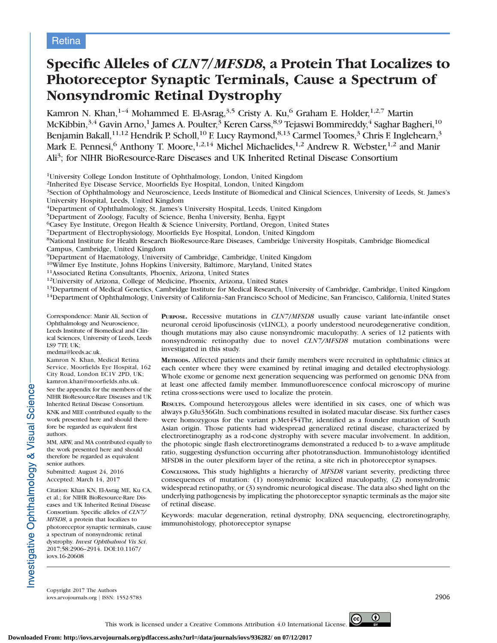# Specific Alleles of CLN7/MFSD8, a Protein That Localizes to Photoreceptor Synaptic Terminals, Cause a Spectrum of Nonsyndromic Retinal Dystrophy

Kamron N. Khan,<sup>1-4</sup> Mohammed E. El-Asrag,<sup>3,5</sup> Cristy A. Ku,<sup>6</sup> Graham E. Holder,<sup>1,2,7</sup> Martin McKibbin,<sup>3,4</sup> Gavin Arno,<sup>1</sup> James A. Poulter,<sup>3</sup> Keren Carss,<sup>8,9</sup> Tejaswi Bommireddy,<sup>4</sup> Saghar Bagheri,<sup>10</sup> Benjamin Bakall, $^{11,12}$  Hendrik P. Scholl, $^{10}$  F. Lucy Raymond, $^{8,13}$  Carmel Toomes, $^3$  Chris F. Inglehearn, $^3$ Mark E. Pennesi,<sup>6</sup> Anthony T. Moore,<sup>1,2,14</sup> Michel Michaelides,<sup>1,2</sup> Andrew R. Webster,<sup>1,2</sup> and Manir Ali<sup>3</sup>; for NIHR BioResource-Rare Diseases and UK Inherited Retinal Disease Consortium

1University College London Institute of Ophthalmology, London, United Kingdom

2Inherited Eye Disease Service, Moorfields Eye Hospital, London, United Kingdom

3Section of Ophthalmology and Neuroscience, Leeds Institute of Biomedical and Clinical Sciences, University of Leeds, St. James's University Hospital, Leeds, United Kingdom

4Department of Ophthalmology, St. James's University Hospital, Leeds, United Kingdom

5Department of Zoology, Faculty of Science, Benha University, Benha, Egypt

6Casey Eye Institute, Oregon Health & Science University, Portland, Oregon, United States

7Department of Electrophysiology, Moorfields Eye Hospital, London, United Kingdom

8National Institute for Health Research BioResource-Rare Diseases, Cambridge University Hospitals, Cambridge Biomedical

Campus, Cambridge, United Kingdom

<sup>9</sup>Department of Haematology, University of Cambridge, Cambridge, United Kingdom <sup>10</sup>Wilmer Eye Institute, Johns Hopkins University, Baltimore, Maryland, United States

<sup>11</sup>Associated Retina Consultants, Phoenix, Arizona, United States<br><sup>12</sup>University of Arizona, College of Medicine, Phoenix, Arizona, United States<br><sup>13</sup>Department of Medical Genetics, Cambridge Institute for Medical Researc

Correspondence: Manir Ali, Section of Ophthalmology and Neuroscience, Leeds Institute of Biomedical and Clinical Sciences, University of Leeds, Leeds LS9 7TF, UK;

medma@leeds.ac.uk.

Kamron N. Khan, Medical Retina Service, Moorfields Eye Hospital, 162 City Road, London EC1V 2PD, UK; kamron.khan@moorfields.nhs.uk. See the appendix for the members of the NIHR BioResource-Rare Diseases and UK Inherited Retinal Disease Consortium. KNK and MEE contributed equally to the work presented here and should therefore be regarded as equivalent first

authors. MM, ARW, and MA contributed equally to the work presented here and should therefore be regarded as equivalent senior authors.

Submitted: August 24, 2016 Accepted: March 14, 2017

Citation: Khan KN, El-Asrag ME, Ku CA, et al.; for NIHR BioResource-Rare Diseases and UK Inherited Retinal Disease Consortium. Specific alleles of CLN7/ MFSD8, a protein that localizes to photoreceptor synaptic terminals, cause a spectrum of nonsyndromic retinal dystrophy. Invest Ophthalmol Vis Sci. 2017;58:2906–2914. DOI:10.1167/ iovs.16-20608

PURPOSE. Recessive mutations in CLN7/MFSD8 usually cause variant late-infantile onset neuronal ceroid lipofuscinosis (vLINCL), a poorly understood neurodegenerative condition, though mutations may also cause nonsyndromic maculopathy. A series of 12 patients with nonsyndromic retinopathy due to novel CLN7/MFSD8 mutation combinations were investigated in this study.

METHODS. Affected patients and their family members were recruited in ophthalmic clinics at each center where they were examined by retinal imaging and detailed electrophysiology. Whole exome or genome next generation sequencing was performed on genomic DNA from at least one affected family member. Immunofluorescence confocal microscopy of murine retina cross-sections were used to localize the protein.

RESULTS. Compound heterozygous alleles were identified in six cases, one of which was always p.Glu336Gln. Such combinations resulted in isolated macular disease. Six further cases were homozygous for the variant p.Met454Thr, identified as a founder mutation of South Asian origin. Those patients had widespread generalized retinal disease, characterized by electroretinography as a rod-cone dystrophy with severe macular involvement. In addition, the photopic single flash electroretinograms demonstrated a reduced b- to a-wave amplitude ratio, suggesting dysfunction occurring after phototransduction. Immunohistology identified MFSD8 in the outer plexiform layer of the retina, a site rich in photoreceptor synapses.

CONCLUSIONS. This study highlights a hierarchy of MFSD8 variant severity, predicting three consequences of mutation: (1) nonsyndromic localized maculopathy, (2) nonsyndromic widespread retinopathy, or (3) syndromic neurological disease. The data also shed light on the underlying pathogenesis by implicating the photoreceptor synaptic terminals as the major site of retinal disease.

Keywords: macular degeneration, retinal dystrophy, DNA sequencing, electroretinography, immunohistology, photoreceptor synapse

Copyright 2017 The Authors iovs.arvojournals.org j ISSN: 1552-5783 2906

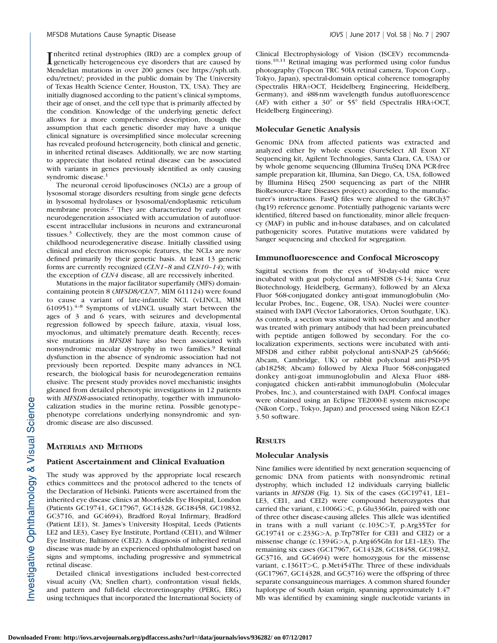Inherited retinal dystrophies (IRD) are a complex group of genetically heterogeneous eye disorders that are caused by genetically heterogeneous eye disorders that are caused by Mendelian mutations in over 200 genes (see https://sph.uth. edu/retnet/; provided in the public domain by The University of Texas Health Science Center, Houston, TX, USA). They are initially diagnosed according to the patient's clinical symptoms, their age of onset, and the cell type that is primarily affected by the condition. Knowledge of the underlying genetic defect allows for a more comprehensive description, though the assumption that each genetic disorder may have a unique clinical signature is oversimplified since molecular screening has revealed profound heterogeneity, both clinical and genetic, in inherited retinal diseases. Additionally, we are now starting to appreciate that isolated retinal disease can be associated with variants in genes previously identified as only causing syndromic disease.<sup>1</sup>

The neuronal ceroid lipofuscinoses (NCLs) are a group of lysosomal storage disorders resulting from single gene defects in lysosomal hydrolases or lysosomal/endoplasmic reticulum membrane proteins.<sup>2</sup> They are characterized by early onset neurodegeneration associated with accumulation of autofluorescent intracellular inclusions in neurons and extraneuronal tissues.<sup>3</sup> Collectively, they are the most common cause of childhood neurodegenerative disease. Initially classified using clinical and electron microscopic features, the NCLs are now defined primarily by their genetic basis. At least 13 genetic forms are currently recognized (CLN1–8 and CLN10–14); with the exception of CLN4 disease, all are recessively inherited.

Mutations in the major facilitator superfamily (MFS) domaincontaining protein 8 (MFSD8/CLN7, MIM 611124) were found to cause a variant of late-infantile NCL (vLINCL, MIM 610951). $4-8$  Symptoms of vLINCL usually start between the ages of 3 and 6 years, with seizures and developmental regression followed by speech failure, ataxia, visual loss, myoclonus, and ultimately premature death. Recently, recessive mutations in MFSD8 have also been associated with nonsyndromic macular dystrophy in two families.<sup>9</sup> Retinal dysfunction in the absence of syndromic association had not previously been reported. Despite many advances in NCL research, the biological basis for neurodegeneration remains elusive. The present study provides novel mechanistic insights gleaned from detailed phenotypic investigations in 12 patients with MFSD8-associated retinopathy, together with immunolocalization studies in the murine retina. Possible genotype– phenotype correlations underlying nonsyndromic and syndromic disease are also discussed.

## MATERIALS AND METHODS

#### Patient Ascertainment and Clinical Evaluation

The study was approved by the appropriate local research ethics committees and the protocol adhered to the tenets of the Declaration of Helsinki. Patients were ascertained from the inherited eye disease clinics at Moorfields Eye Hospital, London (Patients GC19741, GC17967, GC14328, GC18458, GC19832, GC3716, and GC4694), Bradford Royal Infirmary, Bradford (Patient LE1), St. James's University Hospital, Leeds (Patients LE2 and LE3), Casey Eye Institute, Portland (CEI1), and Wilmer Eye Institute, Baltimore (CEI2). A diagnosis of inherited retinal disease was made by an experienced ophthalmologist based on signs and symptoms, including progressive and symmetrical retinal disease.

Detailed clinical investigations included best-corrected visual acuity (VA; Snellen chart), confrontation visual fields, and pattern and full-field electroretinography (PERG, ERG) using techniques that incorporated the International Society of Clinical Electrophysiology of Vision (ISCEV) recommendations.10,11 Retinal imaging was performed using color fundus photography (Topcon TRC 50IA retinal camera, Topcon Corp., Tokyo, Japan), spectral-domain optical coherence tomography (Spectralis HRA+OCT, Heidelberg Engineering, Heidelberg, Germany), and 488-nm wavelength fundus autofluorescence (AF) with either a  $30^{\circ}$  or  $55^{\circ}$  field (Spectralis HRA+OCT, Heidelberg Engineering).

### Molecular Genetic Analysis

Genomic DNA from affected patients was extracted and analyzed either by whole exome (SureSelect All Exon XT Sequencing kit, Agilent Technologies, Santa Clara, CA, USA) or by whole genome sequencing (Illumina TruSeq DNA PCR-free sample preparation kit, Illumina, San Diego, CA, USA, followed by Illumina HiSeq 2500 sequencing as part of the NIHR BioResource–Rare Diseases project) according to the manufacturer's instructions. FastQ files were aligned to the GRCh37 (hg19) reference genome. Potentially pathogenic variants were identified, filtered based on functionality, minor allele frequency (MAF) in public and in-house databases, and on calculated pathogenicity scores. Putative mutations were validated by Sanger sequencing and checked for segregation.

#### Immunofluorescence and Confocal Microscopy

Sagittal sections from the eyes of 30-day-old mice were incubated with goat polyclonal anti-MFSD8 (S-14; Santa Cruz Biotechnology, Heidelberg, Germany), followed by an Alexa Fluor 568-conjugated donkey anti-goat immunoglobulin (Molecular Probes, Inc., Eugene, OR, USA). Nuclei were counterstained with DAPI (Vector Laboratories, Orton Southgate, UK). As controls, a section was stained with secondary and another was treated with primary antibody that had been preincubated with peptide antigen followed by secondary. For the colocalization experiments, sections were incubated with anti-MFSD8 and either rabbit polyclonal anti-SNAP-25 (ab5666; Abcam, Cambridge, UK) or rabbit polyclonal anti-PSD-95 (ab18258; Abcam) followed by Alexa Fluor 568-conjugated donkey anti-goat immunoglobulin and Alexa Fluor 488 conjugated chicken anti-rabbit immunoglobulin (Molecular Probes, Inc.), and counterstained with DAPI. Confocal images were obtained using an Eclipse TE2000-E system microscope (Nikon Corp., Tokyo, Japan) and processed using Nikon EZ-C1 3.50 software.

## **RESULTS**

## Molecular Analysis

Nine families were identified by next generation sequencing of genomic DNA from patients with nonsyndromic retinal dystrophy, which included 12 individuals carrying biallelic variants in MFSD8 (Fig. 1). Six of the cases (GC19741, LE1– LE3, CEI1, and CEI2) were compound heterozygotes that carried the variant, c.1006G>C, p.Glu336Gln, paired with one of three other disease-causing alleles. This allele was identified in trans with a null variant (c.103C>T, p.Arg35Ter for GC19741 or c.233G>A, p.Trp78Ter for CEI1 and CEI2) or a missense change (c.1394G>A, p.Arg465Gln for LE1–LE3). The remaining six cases (GC17967, GC14328, GC18458, GC19832, GC3716, and GC4694) were homozygous for the missense variant, c.1361T>C, p.Met454Thr. Three of these individuals (GC17967, GC14328, and GC3716) were the offspring of three separate consanguineous marriages. A common shared founder haplotype of South Asian origin, spanning approximately 1.47 Mb was identified by examining single nucleotide variants in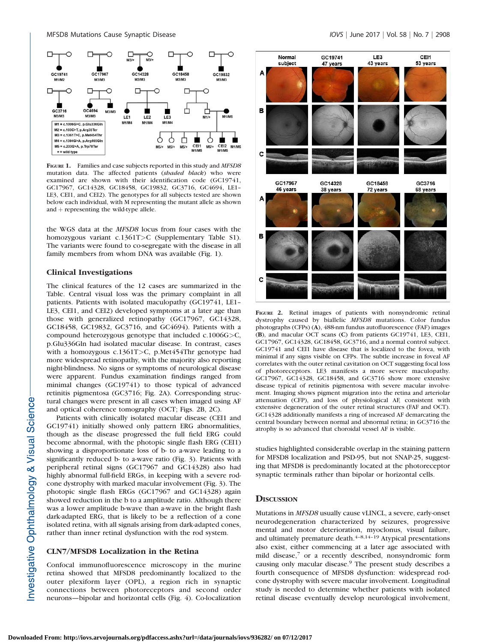

FIGURE 1. Families and case subjects reported in this study and MFSD8 mutation data. The affected patients (shaded black) who were examined are shown with their identification code (GC19741, GC17967, GC14328, GC18458, GC19832, GC3716, GC4694, LE1– LE3, CEI1, and CEI2). The genotypes for all subjects tested are shown below each individual, with M representing the mutant allele as shown and  $+$  representing the wild-type allele.

the WGS data at the MFSD8 locus from four cases with the homozygous variant c.1361T>C (Supplementary Table S1). The variants were found to co-segregate with the disease in all family members from whom DNA was available (Fig. 1).

## Clinical Investigations

The clinical features of the 12 cases are summarized in the Table. Central visual loss was the primary complaint in all patients. Patients with isolated maculopathy (GC19741, LE1– LE3, CEI1, and CEI2) developed symptoms at a later age than those with generalized retinopathy (GC17967, GC14328, GC18458, GC19832, GC3716, and GC4694). Patients with a compound heterozygous genotype that included c.1006G>C, p.Glu336Gln had isolated macular disease. In contrast, cases with a homozygous c.1361T>C, p.Met454Thr genotype had more widespread retinopathy, with the majority also reporting night-blindness. No signs or symptoms of neurological disease were apparent. Fundus examination findings ranged from minimal changes (GC19741) to those typical of advanced retinitis pigmentosa (GC3716; Fig. 2A). Corresponding structural changes were present in all cases when imaged using AF and optical coherence tomography (OCT; Figs. 2B, 2C).

Patients with clinically isolated macular disease (CEI1 and GC19741) initially showed only pattern ERG abnormalities, though as the disease progressed the full field ERG could become abnormal, with the photopic single flash ERG (CEI1) showing a disproportionate loss of b- to a-wave leading to a significantly reduced b- to a-wave ratio (Fig. 3). Patients with peripheral retinal signs (GC17967 and GC14328) also had highly abnormal full-field ERGs, in keeping with a severe rodcone dystrophy with marked macular involvement (Fig. 3). The photopic single flash ERGs (GC17967 and GC14328) again showed reduction in the b to a amplitude ratio. Although there was a lower amplitude b-wave than a-wave in the bright flash dark-adapted ERG, that is likely to be a reflection of a cone isolated retina, with all signals arising from dark-adapted cones, rather than inner retinal dysfunction with the rod system.

#### CLN7/MFSD8 Localization in the Retina

Confocal immunofluorescence microscopy in the murine retina showed that MFSD8 predominantly localized to the outer plexiform layer (OPL), a region rich in synaptic connections between photoreceptors and second order neurons—bipolar and horizontal cells (Fig. 4). Co-localization



FIGURE 2. Retinal images of patients with nonsyndromic retinal dystrophy caused by biallelic MFSD8 mutations. Color fundus photographs (CFPs) (A), 488-nm fundus autofluorescence (FAF) images (B), and macular OCT scans (C) from patients GC19741, LE3, CEI1, GC17967, GC14328, GC18458, GC3716, and a normal control subject. GC19741 and CEI1 have disease that is localized to the fovea, with minimal if any signs visible on CFPs. The subtle increase in foveal AF correlates with the outer retinal cavitation on OCT suggesting focal loss of photoreceptors. LE3 manifests a more severe maculopathy. GC17967, GC14328, GC18458, and GC3716 show more extensive disease typical of retinitis pigmentosa with severe macular involvement. Imaging shows pigment migration into the retina and arteriolar attenuation (CFP), and loss of physiological AF, consistent with extensive degeneration of the outer retinal structures (FAF and OCT). GC14328 additionally manifests a ring of increased AF demarcating the central boundary between normal and abnormal retina; in GC3716 the atrophy is so advanced that choroidal vessel AF is visible.

studies highlighted considerable overlap in the staining pattern for MFSD8 localization and PSD-95, but not SNAP-25, suggesting that MFSD8 is predominantly located at the photoreceptor synaptic terminals rather than bipolar or horizontal cells.

## **DISCUSSION**

Mutations in MFSD8 usually cause vLINCL, a severe, early-onset neurodegeneration characterized by seizures, progressive mental and motor deterioration, myoclonus, visual failure, and ultimately premature death. $4-8,14-19$  Atypical presentations also exist, either commencing at a later age associated with mild disease,<sup>7</sup> or a recently described, nonsyndromic form causing only macular disease.<sup>9</sup> The present study describes a fourth consequence of MFSD8 dysfunction: widespread rodcone dystrophy with severe macular involvement. Longitudinal study is needed to determine whether patients with isolated retinal disease eventually develop neurological involvement,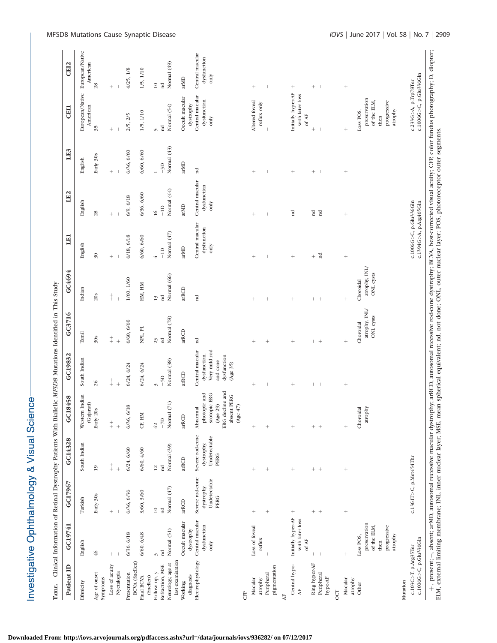| りょうこう                |
|----------------------|
|                      |
|                      |
|                      |
| 5                    |
| nhthalmalamı & Vieua |
| ここまくさん<br>۱          |

Clinical Information of Retinal Dystrophy Patients With Biallelic MESDR Mutations Identified in This Study TABLE. Clinical Information of Retinal Dystrophy Patients With Biallelic MFSD8 Mutations Identified in This Study Танг.

| Patient ID<br>LADLL.                                     | CONTRACT THE STRIP IS IN THE STRIP IS THE STATE OF THE STRIP IS A THE STRIP IS A THE STATE OF THE STRIP IS THE STATE IS THE STATE OF THE STATE IS THE STATE OF THE STATE OF THE STATE IS THE STATE OF THE STATE OF THE STATE I<br>GC19741 | GC17967                                                                                                                                                                                            | GC14328                            | GC18458                                                                    | GC19832                                                              | GC3716                     | GC4694                               | LE1                                              | LE <sub>2</sub>      | LE3                  | CEI1                                                          | CEI <sub>2</sub>            |
|----------------------------------------------------------|-------------------------------------------------------------------------------------------------------------------------------------------------------------------------------------------------------------------------------------------|----------------------------------------------------------------------------------------------------------------------------------------------------------------------------------------------------|------------------------------------|----------------------------------------------------------------------------|----------------------------------------------------------------------|----------------------------|--------------------------------------|--------------------------------------------------|----------------------|----------------------|---------------------------------------------------------------|-----------------------------|
|                                                          |                                                                                                                                                                                                                                           |                                                                                                                                                                                                    |                                    |                                                                            |                                                                      |                            |                                      |                                                  |                      |                      |                                                               |                             |
| Ethnicity                                                | English                                                                                                                                                                                                                                   | Turkish                                                                                                                                                                                            | South Indian                       | Western Indian<br>(Gujarati)                                               | South Indian                                                         | Tamil                      | Indian                               | English                                          | English              | English              | European/Native<br>American                                   | European/Native<br>American |
| Age of onset<br>Symptoms                                 | $\frac{46}{5}$                                                                                                                                                                                                                            | Early 30s                                                                                                                                                                                          | $\overline{19}$                    | Early 20s                                                                  | 26                                                                   | $30s$                      | 20s                                  | $\overline{30}$                                  | 28                   | Early 30s            | 35                                                            | 28                          |
| Loss of acuity                                           | $^{+}$                                                                                                                                                                                                                                    | $^{+}$                                                                                                                                                                                             | $\ddagger$                         | $\ddagger$                                                                 | $\ddagger$                                                           | $\ddagger$                 | $\begin{array}{c} + \ + \end{array}$ | $^{+}$                                           | $^{+}$               | $^{+}$               | $^{+}$                                                        | $^{+}$                      |
| Nyctalopia                                               |                                                                                                                                                                                                                                           |                                                                                                                                                                                                    | $^{+}$                             | $\ddot{}$                                                                  | $^{+}$                                                               | $^{+}$                     | $^{+}$                               |                                                  |                      |                      |                                                               |                             |
| BCVA (Snellen)<br>Presentation                           | 6/36, 6/18                                                                                                                                                                                                                                | 6/36, 6/36                                                                                                                                                                                         | 6/24, 6/60                         | 6/36, 6/18                                                                 | 6/24, 6/24                                                           | 6/60, 6/60                 | 1/60, 1/60                           | 6/18, 6/18                                       | 6/9, 6/18            | 6/36, 6/60           | 2/5, 2/5                                                      | 4/25, 1/8                   |
| (Snellen)<br>Final BCVA                                  | 6/60, 6/48                                                                                                                                                                                                                                | 3/60, 3/60                                                                                                                                                                                         | 6/60, 4/60                         | CF, HM                                                                     | 6/24, 6/24                                                           | $\mbox{NPL},$ PL           | HM, HM                               | 6/60, 6/60                                       | 6/36, 6/60           | 6/60, 6/60           | 1/5, 1/10                                                     | 1/5, 1/10                   |
| Follow up, $\boldsymbol{y}$                              | 3                                                                                                                                                                                                                                         | $\overline{10}$                                                                                                                                                                                    | 12                                 | 42                                                                         | S                                                                    | 23                         | 13                                   | $\overline{+}$                                   | 16                   | $\overline{a}$       | $\overline{5}$                                                | $\overline{10}$             |
| last examination<br>Neurology, age at<br>Refraction, MSE | Normal (51)<br>$_{\rm nd}$                                                                                                                                                                                                                | Normal (47)<br>'n                                                                                                                                                                                  | Normal (39)<br>$_{\rm nd}$         | $\widehat{C}$<br>Normal<br>$-7D$                                           | Normal (38)<br>$-5D$                                                 | Normal (78)<br>$_{\rm nd}$ | Normal (66)<br>nd                    | Normal $(47)$<br>$-1D$                           | Normal (44)<br>$-1D$ | Normal (43)<br>$-3D$ | Normal (54)<br>$_{\rm nd}$                                    | Normal (49)<br>$_{\rm nd}$  |
| Working                                                  | Occult macular                                                                                                                                                                                                                            | arRCD                                                                                                                                                                                              | arRCD                              | arRCD                                                                      | arRCD                                                                | arRCD                      | arRCD                                | arMD                                             | arMD                 | arMD                 | Occult macular                                                | arMD                        |
| Electrophysiology<br>diagnosis                           | Central macular<br>dystrophy                                                                                                                                                                                                              | Severe rod-cone                                                                                                                                                                                    | Severe rod-cone                    | Abnormal                                                                   | Central macular                                                      | $_{\rm nd}$                | $_{\rm nd}$                          | Central macular                                  | Central macular      | $_{\rm nd}$          | Central macular<br>dystrophy                                  | Central macular             |
|                                                          | dysfunction<br>only                                                                                                                                                                                                                       | Undetectable<br>dystrophy.<br>PERG                                                                                                                                                                 | Undetectable<br>dystrophy.<br>PERG | ERG decline and<br>photopic and<br>scotopic ERG<br>absent PERG<br>(Age 29) | Very mild rod<br>dysfunction.<br>dysfunction<br>and cone<br>(Age 35) |                            |                                      | dysfunction<br>only                              | dysfunction<br>only  |                      | dysfunction<br>only                                           | dysfunction<br>only         |
| <b>CFP</b>                                               |                                                                                                                                                                                                                                           |                                                                                                                                                                                                    |                                    | (Age $47$                                                                  |                                                                      |                            |                                      |                                                  |                      |                      |                                                               |                             |
| Macular<br>atrophy                                       | Loss of foveal<br>reflex                                                                                                                                                                                                                  | $^{+}$                                                                                                                                                                                             | $^{+}$                             |                                                                            | $^{+}$                                                               |                            | $^{+}$                               | $^{+}$                                           | $^{+}$               | $^{+}$               | Altered foveal<br>reflex only                                 |                             |
| pigmentation<br>Peripheral                               |                                                                                                                                                                                                                                           | $^{+}$                                                                                                                                                                                             | $^{+}$                             | $^{+}$                                                                     |                                                                      | $^{+}$                     | $^{+}$                               | I                                                |                      | I                    |                                                               |                             |
| $\mathbf{A}^{\mathrm{F}}$                                |                                                                                                                                                                                                                                           |                                                                                                                                                                                                    |                                    |                                                                            |                                                                      |                            |                                      |                                                  |                      |                      |                                                               |                             |
| Central hypo-<br>$\overline{A}$                          | Initially hyper-AF<br>with later loss<br>of $\mathbf{AF}$                                                                                                                                                                                 | $^{+}$                                                                                                                                                                                             |                                    |                                                                            | $^{+}$                                                               |                            | $^{+}$                               | $^{+}$                                           | $_{\rm nd}$          | $^{+}$               | Initially hyper-AF<br>with later loss<br>of $\mathbf{AF}$     | $^{+}$                      |
| Ring hyper-AF                                            | $\mathbf{I}$                                                                                                                                                                                                                              | $+$ +                                                                                                                                                                                              | $+$ +                              | $+$ +                                                                      |                                                                      | $+$                        |                                      | $^{+}$                                           | $_{\rm nd}$          | $^{+}$               |                                                               | $^{+}$                      |
| Peripheral<br>hypo-AF                                    |                                                                                                                                                                                                                                           |                                                                                                                                                                                                    |                                    |                                                                            |                                                                      |                            | $^{+}$                               | $_{\rm nd}$                                      | $_{\rm nd}$          |                      |                                                               |                             |
| <b>CCT</b>                                               |                                                                                                                                                                                                                                           |                                                                                                                                                                                                    |                                    |                                                                            |                                                                      |                            |                                      |                                                  |                      |                      |                                                               |                             |
| Macular<br>atrophy                                       | $^{+}$                                                                                                                                                                                                                                    |                                                                                                                                                                                                    | $^{+}$                             |                                                                            | $^{+}$                                                               | $^{+}$                     | $^{+}$                               | $^{+}$                                           | $^{+}$               | $^{+}$               | $^{+}$                                                        | $^{+}$                      |
| Other                                                    | Loss POS,                                                                                                                                                                                                                                 |                                                                                                                                                                                                    |                                    | Choroidal                                                                  |                                                                      | Choroidal                  | Choroidal                            |                                                  |                      |                      | Loss POS,                                                     |                             |
|                                                          | preservation<br>progressive<br>of the ELM,<br>atrophy<br>then                                                                                                                                                                             |                                                                                                                                                                                                    |                                    | atrophy                                                                    |                                                                      | atrophy, INL/<br>ONL cysts | atrophy, INL/<br>ONL cysts           |                                                  |                      |                      | preservation<br>progressive<br>of the ELM,<br>atrophy<br>then |                             |
| Mutation                                                 |                                                                                                                                                                                                                                           |                                                                                                                                                                                                    |                                    |                                                                            |                                                                      |                            |                                      |                                                  |                      |                      |                                                               |                             |
| c.1006G>C, p.Glu336Gln<br>c.103C>T, p.Arg35Ter           |                                                                                                                                                                                                                                           | c.1361T>C, p.Met454Thr                                                                                                                                                                             |                                    |                                                                            |                                                                      |                            |                                      | c.1006G>C, p.Glu336Gln<br>c.1394G>A, p.Arg465Gln |                      |                      | c.1006G>C, p.Glu336Gln<br>c.233G>A, p.Trp78Ter                |                             |
|                                                          |                                                                                                                                                                                                                                           | + , present; -, absent; arMD, autosomal recessive macular dystrophy; arRCD, autosomal recessive rod-cone dystrophy; BCVA, best-corrected visual acuity; CFP, color fundus photography; D, diopter; |                                    |                                                                            |                                                                      |                            |                                      |                                                  |                      |                      |                                                               |                             |

ELM, external limiting membrane; INL, inner nuclear layer; MSE, mean spherical equivalent; nd, not done; ONL, outer nuclear layer; POS, photoreceptor outer segments.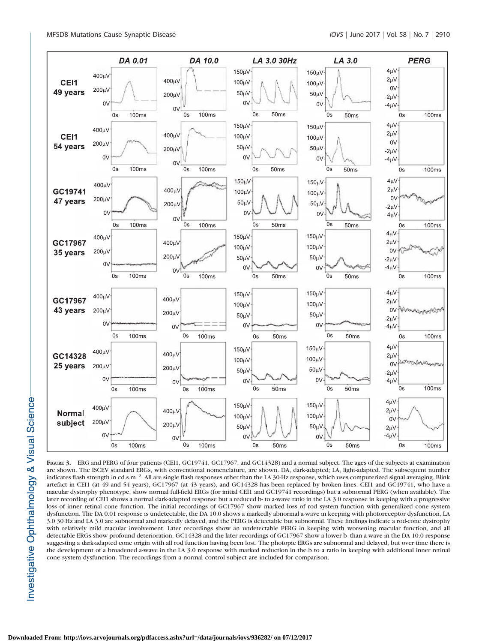

FIGURE 3. ERG and PERG of four patients (CEI1, GC19741, GC17967, and GC14328) and a normal subject. The ages of the subjects at examination are shown. The ISCEV standard ERGs, with conventional nomenclature, are shown. DA, dark-adapted; LA, light-adapted. The subsequent number indicates flash strength in cd.s.m-2. All are single flash responses other than the LA 30-Hz response, which uses computerized signal averaging. Blink artefact in CEI1 (at 49 and 54 years), GC17967 (at 43 years), and GC14328 has been replaced by broken lines. CEI1 and GC19741, who have a macular dystrophy phenotype, show normal full-field ERGs (for initial CEI1 and GC19741 recordings) but a subnormal PERG (when available). The later recording of CEI1 shows a normal dark-adapted response but a reduced b- to a-wave ratio in the LA 3.0 response in keeping with a progressive loss of inner retinal cone function. The initial recordings of GC17967 show marked loss of rod system function with generalized cone system dysfunction. The DA 0.01 response is undetectable, the DA 10.0 shows a markedly abnormal a-wave in keeping with photoreceptor dysfunction, LA 3.0 30 Hz and LA 3.0 are subnormal and markedly delayed, and the PERG is detectable but subnormal. These findings indicate a rod-cone dystrophy with relatively mild macular involvement. Later recordings show an undetectable PERG in keeping with worsening macular function, and all detectable ERGs show profound deterioration. GC14328 and the later recordings of GC17967 show a lower b- than a-wave in the DA 10.0 response suggesting a dark-adapted cone origin with all rod function having been lost. The photopic ERGs are subnormal and delayed, but over time there is the development of a broadened a-wave in the LA 3.0 response with marked reduction in the b to a ratio in keeping with additional inner retinal cone system dysfunction. The recordings from a normal control subject are included for comparison.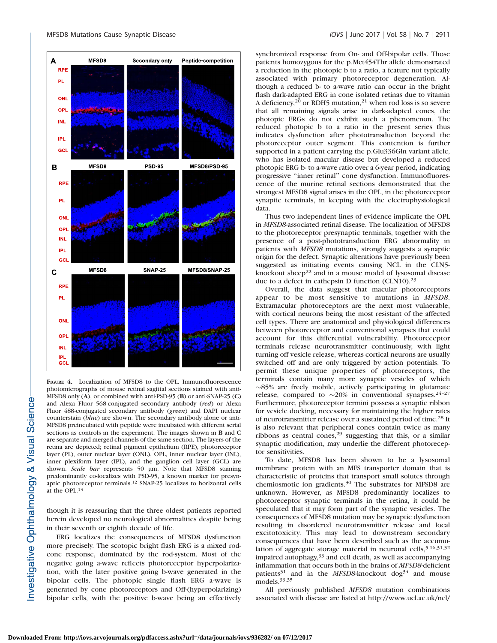

FIGURE 4. Localization of MFSD8 to the OPL. Immunofluorescence photomicrographs of mouse retinal sagittal sections stained with anti-MFSD8 only (A), or combined with anti-PSD-95 (B) or anti-SNAP-25 (C) and Alexa Fluor 568-conjugated secondary antibody (red) or Alexa Fluor 488-conjugated secondary antibody (green) and DAPI nuclear counterstain (blue) are shown. The secondary antibody alone or anti-MFSD8 preincubated with peptide were incubated with different serial sections as controls in the experiment. The images shown in B and C are separate and merged channels of the same section. The layers of the retina are depicted; retinal pigment epithelium (RPE), photoreceptor layer (PL), outer nuclear layer (ONL), OPL, inner nuclear layer (INL), inner plexiform layer (IPL), and the ganglion cell layer (GCL) are shown. Scale bar represents 50 µm. Note that MFSD8 staining predominantly co-localizes with PSD-95, a known marker for presynaptic photoreceptor terminals.<sup>12</sup> SNAP-25 localizes to horizontal cells at the OPL.13

though it is reassuring that the three oldest patients reported herein developed no neurological abnormalities despite being in their seventh or eighth decade of life.

ERG localizes the consequences of MFSD8 dysfunction more precisely. The scotopic bright flash ERG is a mixed rodcone response, dominated by the rod-system. Most of the negative going a-wave reflects photoreceptor hyperpolarization, with the later positive going b-wave generated in the bipolar cells. The photopic single flash ERG a-wave is generated by cone photoreceptors and Off-(hyperpolarizing) bipolar cells, with the positive b-wave being an effectively

synchronized response from On- and Off-bipolar cells. Those patients homozygous for the p.Met454Thr allele demonstrated a reduction in the photopic b to a ratio, a feature not typically associated with primary photoreceptor degeneration. Although a reduced b- to a-wave ratio can occur in the bright flash dark-adapted ERG in cone isolated retinas due to vitamin A deficiency,<sup>20</sup> or RDH5 mutation,<sup>21</sup> when rod loss is so severe that all remaining signals arise in dark-adapted cones, the photopic ERGs do not exhibit such a phenomenon. The reduced photopic b to a ratio in the present series thus indicates dysfunction after phototransduction beyond the photoreceptor outer segment. This contention is further supported in a patient carrying the p.Glu336Gln variant allele, who has isolated macular disease but developed a reduced photopic ERG b- to a-wave ratio over a 6-year period, indicating progressive ''inner retinal'' cone dysfunction. Immunofluorescence of the murine retinal sections demonstrated that the strongest MFSD8 signal arises in the OPL, in the photoreceptor synaptic terminals, in keeping with the electrophysiological data.

Thus two independent lines of evidence implicate the OPL in MFSD8-associated retinal disease. The localization of MFSD8 to the photoreceptor presynaptic terminals, together with the presence of a post-phototransduction ERG abnormality in patients with MFSD8 mutations, strongly suggests a synaptic origin for the defect. Synaptic alterations have previously been suggested as initiating events causing NCL in the CLN5 knockout sheep<sup>22</sup> and in a mouse model of lysosomal disease due to a defect in cathepsin D function (CLN10).<sup>23</sup>

Overall, the data suggest that macular photoreceptors appear to be most sensitive to mutations in MFSD8. Extramacular photoreceptors are the next most vulnerable, with cortical neurons being the most resistant of the affected cell types. There are anatomical and physiological differences between photoreceptor and conventional synapses that could account for this differential vulnerability. Photoreceptor terminals release neurotransmitter continuously, with light turning off vesicle release, whereas cortical neurons are usually switched off and are only triggered by action potentials. To permit these unique properties of photoreceptors, the terminals contain many more synaptic vesicles of which  $\sim$ 85% are freely mobile, actively participating in glutamate release, compared to  $\sim$ 20% in conventional synapses.<sup>24-27</sup> Furthermore, photoreceptor termini possess a synaptic ribbon for vesicle docking, necessary for maintaining the higher rates of neurotransmitter release over a sustained period of time.<sup>28</sup> It is also relevant that peripheral cones contain twice as many ribbons as central cones,<sup>29</sup> suggesting that this, or a similar synaptic modification, may underlie the different photoreceptor sensitivities.

To date, MFSD8 has been shown to be a lysosomal membrane protein with an MFS transporter domain that is characteristic of proteins that transport small solutes through chemiosmotic ion gradients.<sup>30</sup> The substrates for MFSD8 are unknown. However, as MFSD8 predominantly localizes to photoreceptor synaptic terminals in the retina, it could be speculated that it may form part of the synaptic vesicles. The consequences of MFSD8 mutation may be synaptic dysfunction resulting in disordered neurotransmitter release and local excitotoxicity. This may lead to downstream secondary consequences that have been described such as the accumulation of aggregate storage material in neuronal cells,  $5,16,31,32$ impaired autophagy,<sup>33</sup> and cell death, as well as accompanying inflammation that occurs both in the brains of MFSD8-deficient patients $31$  and in the MFSD8-knockout dog<sup>34</sup> and mouse models.33,35

All previously published MFSD8 mutation combinations associated with disease are listed at http://www.ucl.ac.uk/ncl/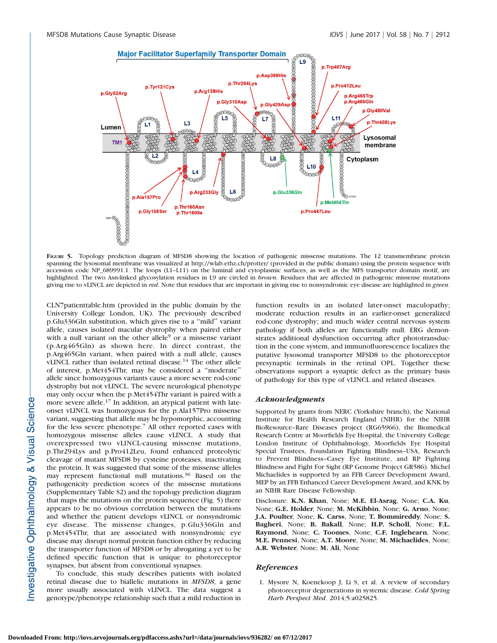

FIGURE 5. Topology prediction diagram of MFSD8 showing the location of pathogenic missense mutations. The 12 transmembrane protein spanning the lysosomal membrane was visualized at http://wlab.ethz.ch/protter/ (provided in the public domain) using the protein sequence with accession code NP\_689991.1. The loops (L1–L11) on the luminal and cytoplasmic surfaces, as well as the MFS transporter domain motif, are highlighted. The two Asn-linked glycosylation residues in L9 are circled in *brown*. Residues that are affected in pathogenic missense mutations giving rise to vLINCL are depicted in red. Note that residues that are important in giving rise to nonsyndromic eye disease are highlighted in green.

CLN7patienttable.htm (provided in the public domain by the University College London, UK). The previously described p.Glu336Gln substitution, which gives rise to a ''mild'' variant allele, causes isolated macular dystrophy when paired either with a null variant on the other allele<sup>9</sup> or a missense variant (p.Arg465Gln) as shown here. In direct contrast, the p.Arg465Gln variant, when paired with a null allele, causes vLINCL rather than isolated retinal disease.<sup>14</sup> The other allele of interest, p.Met454Thr, may be considered a ''moderate'' allele since homozygous variants cause a more severe rod-cone dystrophy but not vLINCL. The severe neurological phenotype may only occur when the p.Met454Thr variant is paired with a more severe allele.<sup>17</sup> In addition, an atypical patient with lateonset vLINCL was homozygous for the p.Ala157Pro missense variant, suggesting that allele may be hypomorphic, accounting for the less severe phenotype.7 All other reported cases with homozygous missense alleles cause vLINCL. A study that overexpressed two vLINCL-causing missense mutations, p.Thr294Lys and p.Pro412Leu, found enhanced proteolytic cleavage of mutant MFSD8 by cysteine proteases, inactivating the protein. It was suggested that some of the missense alleles may represent functional null mutations.<sup>36</sup> Based on the pathogenicity prediction scores of the missense mutations (Supplementary Table S2) and the topology prediction diagram that maps the mutations on the protein sequence (Fig. 5) there appears to be no obvious correlation between the mutations and whether the patient develops vLINCL or nonsyndromic eye disease. The missense changes, p.Glu336Gln and p.Met454Thr, that are associated with nonsyndromic eye disease may disrupt normal protein function either by reducing the transporter function of MFSD8 or by abrogating a yet to be defined specific function that is unique to photoreceptor synapses, but absent from conventional synapses.

To conclude, this study describes patients with isolated retinal disease due to biallelic mutations in MFSD8, a gene more usually associated with vLINCL. The data suggest a genotype/phenotype relationship such that a mild reduction in function results in an isolated later-onset maculopathy; moderate reduction results in an earlier-onset generalized rod-cone dystrophy; and much wider central nervous system pathology if both alleles are functionally null. ERG demonstrates additional dysfunction occurring after phototransduction in the cone system, and immunofluorescence localizes the putative lysosomal transporter MFSD8 to the photoreceptor presynaptic terminals in the retinal OPL. Together these observations support a synaptic defect as the primary basis of pathology for this type of vLINCL and related diseases.

#### Acknowledgments

Supported by grants from NERC (Yorkshire branch), the National Institute for Health Research England (NIHR) for the NIHR BioResource–Rare Diseases project (RG65966), the Biomedical Research Centre at Moorfields Eye Hospital, the University College London Institute of Ophthalmology, Moorfields Eye Hospital Special Trustees, Foundation Fighting Blindness–USA, Research to Prevent Blindness–Casey Eye Institute, and RP Fighting Blindness and Fight For Sight (RP Genome Project GR586). Michel Michaelides is supported by an FFB Career Development Award, MEP by an FFB Enhanced Career Development Award, and KNK by an NIHR Rare Disease Fellowship.

Disclosure: K.N. Khan, None; M.E. El-Asrag, None; C.A. Ku, None; G.E. Holder, None; M. McKibbin, None; G. Arno, None; J.A. Poulter, None; K. Carss, None; T. Bommireddy, None; S. Bagheri, None; B. Bakall, None; H.P. Scholl, None; F.L. Raymond, None; C. Toomes, None; C.F. Inglehearn, None; M.E. Pennesi, None; A.T. Moore, None; M. Michaelides, None; A.R. Webster, None; M. Ali, None

#### **References**

1. Mysore N, Koenekoop J, Li S, et al. A review of secondary photoreceptor degenerations in systemic disease. Cold Spring Harb Perspect Med. 2014;5:a025825.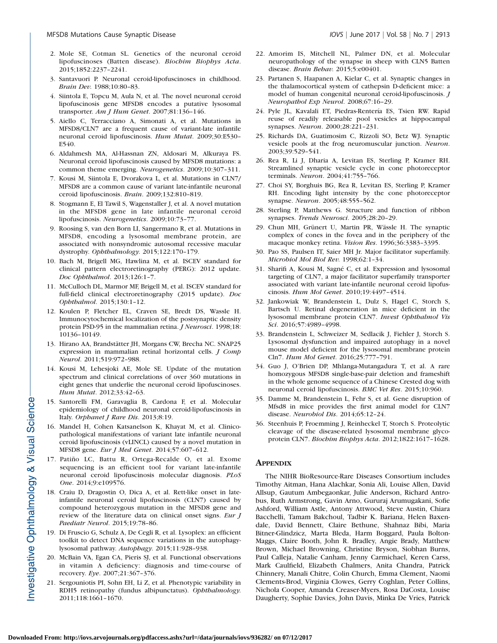- 2. Mole SE, Cotman SL. Genetics of the neuronal ceroid lipofuscinoses (Batten disease). Biochim Biophys Acta. 2015;1852:2237–2241.
- 3. Santavuori P. Neuronal ceroid-lipofuscinoses in childhood. Brain Dev. 1988;10:80–83.
- 4. Siintola E, Topcu M, Aula N, et al. The novel neuronal ceroid lipofuscinosis gene MFSD8 encodes a putative lysosomal transporter. Am J Hum Genet. 2007;81:136–146.
- 5. Aiello C, Terracciano A, Simonati A, et al. Mutations in MFSD8/CLN7 are a frequent cause of variant-late infantile neuronal ceroid lipofuscinosis. Hum Mutat. 2009;30:E530– E540.
- 6. Aldahmesh MA, Al-Hassnan ZN, Aldosari M, Alkuraya FS. Neuronal ceroid lipofuscinosis caused by MFSD8 mutations: a common theme emerging. Neurogenetics. 2009;10:307–311.
- 7. Kousi M, Siintola E, Dvorakova L, et al. Mutations in CLN7/ MFSD8 are a common cause of variant late-infantile neuronal ceroid lipofuscinosis. Brain. 2009;132:810–819.
- 8. Stogmann E, El Tawil S, Wagenstaller J, et al. A novel mutation in the MFSD8 gene in late infantile neuronal ceroid lipofuscinosis. Neurogenetics. 2009;10:73–77.
- 9. Roosing S, van den Born LI, Sangermano R, et al. Mutations in MFSD8, encoding a lysosomal membrane protein, are associated with nonsyndromic autosomal recessive macular dystrophy. Ophthalmology. 2015;122:170–179.
- 10. Bach M, Brigell MG, Hawlina M, et al. ISCEV standard for clinical pattern electroretinography (PERG): 2012 update. Doc Ophthalmol. 2013;126:1–7.
- 11. McCulloch DL, Marmor MF, Brigell M, et al. ISCEV standard for full-field clinical electroretinography (2015 update). Doc Ophthalmol. 2015;130:1–12.
- 12. Koulen P, Fletcher EL, Craven SE, Bredt DS, Wassle H. Immunocytochemical localization of the postsynaptic density protein PSD-95 in the mammalian retina. *J Neurosci*. 1998;18: 10136–10149.
- 13. Hirano AA, Brandstätter JH, Morgans CW, Brecha NC. SNAP25 expression in mammalian retinal horizontal cells. J Comp Neurol. 2011;519:972–988.
- 14. Kousi M, Lehesjoki AE, Mole SE. Update of the mutation spectrum and clinical correlations of over 360 mutations in eight genes that underlie the neuronal ceroid lipofuscinoses. Hum Mutat. 2012;33:42–63.
- 15. Santorelli FM, Garavaglia B, Cardona F, et al. Molecular epidemiology of childhood neuronal ceroid-lipofuscinosis in Italy. Orphanet J Rare Dis. 2013;8:19.
- 16. Mandel H, Cohen Katsanelson K, Khayat M, et al. Clinicopathological manifestations of variant late infantile neuronal ceroid lipofuscinosis (vLINCL) caused by a novel mutation in MFSD8 gene. Eur J Med Genet. 2014;57:607–612.
- 17. Patiño LC, Battu R, Ortega-Recalde O, et al. Exome sequencing is an efficient tool for variant late-infantile neuronal ceroid lipofuscinosis molecular diagnosis. PLoS One. 2014;9:e109576.
- 18. Craiu D, Dragostin O, Dica A, et al. Rett-like onset in lateinfantile neuronal ceroid lipofuscinosis (CLN7) caused by compound heterozygous mutation in the MFSD8 gene and review of the literature data on clinical onset signs. *Eur J* Paediatr Neurol. 2015;19:78–86.
- 19. Di Fruscio G, Schulz A, De Cegli R, et al. Lysoplex: an efficient toolkit to detect DNA sequence variations in the autophagylysosomal pathway. Autophagy. 2015;11:928-938.
- 20. McBain VA, Egan CA, Pieris SJ, et al. Functional observations in vitamin A deficiency: diagnosis and time-course of recovery. Eye. 2007;21:367–376.
- 21. Sergouniotis PI, Sohn EH, Li Z, et al. Phenotypic variability in RDH5 retinopathy (fundus albipunctatus). Ophthalmology. 2011;118:1661–1670.
- 22. Amorim IS, Mitchell NL, Palmer DN, et al. Molecular neuropathology of the synapse in sheep with CLN5 Batten disease. Brain Behav. 2015;5:e00401.
- 23. Partanen S, Haapanen A, Kielar C, et al. Synaptic changes in the thalamocortical system of cathepsin D-deficient mice: a model of human congenital neuronal ceroid-lipofuscinosis. J Neuropathol Exp Neurol. 2008;67:16–29.
- 24. Pyle JL, Kavalali ET, Piedras-Rentería ES, Tsien RW. Rapid reuse of readily releasable pool vesicles at hippocampal synapses. Neuron. 2000;28:221–231.
- 25. Richards DA, Guatimosim C, Rizzoli SO, Betz WJ. Synaptic vesicle pools at the frog neuromuscular junction. Neuron. 2003;39:529–541.
- 26. Rea R, Li J, Dharia A, Levitan ES, Sterling P, Kramer RH. Streamlined synaptic vesicle cycle in cone photoreceptor terminals. Neuron. 2004;41:755–766.
- 27. Choi SY, Borghuis BG, Rea R, Levitan ES, Sterling P, Kramer RH. Encoding light intensity by the cone photoreceptor synapse. Neuron. 2005;48:555–562.
- 28. Sterling P, Matthews G. Structure and function of ribbon synapses. Trends Neurosci. 2005;28:20–29.
- 29. Chun MH, Grünert U, Martin PR, Wässle H. The synaptic complex of cones in the fovea and in the periphery of the macaque monkey retina. Vision Res. 1996;36:3383–3395.
- 30. Pao SS, Paulsen IT, Saier MH Jr. Major facilitator superfamily. Microbiol Mol Biol Rev. 1998;62:1–34.
- 31. Sharifi A, Kousi M, Sagné C, et al. Expression and lysosomal targeting of CLN7, a major facilitator superfamily transporter associated with variant late-infantile neuronal ceroid lipofuscinosis. Hum Mol Genet. 2010;19:4497–4514.
- 32. Jankowiak W, Brandenstein L, Dulz S, Hagel C, Storch S, Bartsch U. Retinal degeneration in mice deficient in the lysosomal membrane protein CLN7. Invest Ophthalmol Vis Sci. 2016;57:4989–4998.
- 33. Brandenstein L, Schweizer M, Sedlacik J, Fiehler J, Storch S. Lysosomal dysfunction and impaired autophagy in a novel mouse model deficient for the lysosomal membrane protein Cln7. Hum Mol Genet. 2016;25:777–791.
- 34. Guo J, O'Brien DP, Mhlanga-Mutangadura T, et al. A rare homozygous MFSD8 single-base-pair deletion and frameshift in the whole genome sequence of a Chinese Crested dog with neuronal ceroid lipofuscinosis. BMC Vet Res. 2015;10:960.
- 35. Damme M, Brandenstein L, Fehr S, et al. Gene disruption of Mfsd8 in mice provides the first animal model for CLN7 disease. Neurobiol Dis. 2014;65:12–24.
- 36. Steenhuis P, Froemming J, Reinheckel T, Storch S. Proteolytic cleavage of the disease-related lysosomal membrane glycoprotein CLN7. Biochim Biophys Acta. 2012;1822:1617–1628.

## **APPENDIX**

The NIHR BioResource-Rare Diseases Consortium includes Timothy Aitman, Hana Alachkar, Sonia Ali, Louise Allen, David Allsup, Gautum Ambegaonkar, Julie Anderson, Richard Antrobus, Ruth Armstrong, Gavin Arno, Gururaj Arumugakani, Sofie Ashford, William Astle, Antony Attwood, Steve Austin, Chiara Bacchelli, Tamam Bakchoul, Tadbir K. Bariana, Helen Baxendale, David Bennett, Claire Bethune, Shahnaz Bibi, Maria Bitner-Glindzicz, Marta Bleda, Harm Boggard, Paula Bolton-Maggs, Claire Booth, John R. Bradley, Angie Brady, Matthew Brown, Michael Browning, Christine Bryson, Siobhan Burns, Paul Calleja, Natalie Canham, Jenny Carmichael, Keren Carss, Mark Caulfield, Elizabeth Chalmers, Anita Chandra, Patrick Chinnery, Manali Chitre, Colin Church, Emma Clement, Naomi Clements-Brod, Virginia Clowes, Gerry Coghlan, Peter Collins, Nichola Cooper, Amanda Creaser-Myers, Rosa DaCosta, Louise Daugherty, Sophie Davies, John Davis, Minka De Vries, Patrick